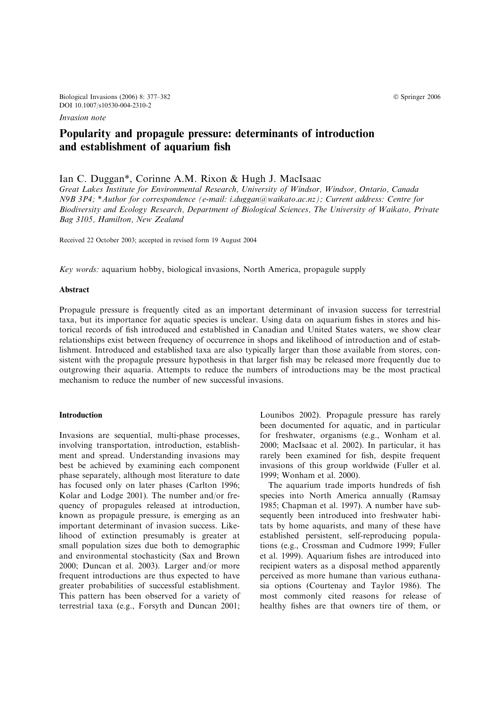Invasion note

# Popularity and propagule pressure: determinants of introduction and establishment of aquarium fish

Ian C. Duggan\*, Corinne A.M. Rixon & Hugh J. MacIsaac

Great Lakes Institute for Environmental Research, University of Windsor, Windsor, Ontario, Canada N9B 3P4; \*Author for correspondence (e-mail: i.duggan@waikato.ac.nz); Current address: Centre for Biodiversity and Ecology Research, Department of Biological Sciences, The University of Waikato, Private Bag 3105, Hamilton, New Zealand

Received 22 October 2003; accepted in revised form 19 August 2004

Key words: aquarium hobby, biological invasions, North America, propagule supply

## Abstract

Propagule pressure is frequently cited as an important determinant of invasion success for terrestrial taxa, but its importance for aquatic species is unclear. Using data on aquarium fishes in stores and historical records of fish introduced and established in Canadian and United States waters, we show clear relationships exist between frequency of occurrence in shops and likelihood of introduction and of establishment. Introduced and established taxa are also typically larger than those available from stores, consistent with the propagule pressure hypothesis in that larger fish may be released more frequently due to outgrowing their aquaria. Attempts to reduce the numbers of introductions may be the most practical mechanism to reduce the number of new successful invasions.

#### Introduction

Invasions are sequential, multi-phase processes, involving transportation, introduction, establishment and spread. Understanding invasions may best be achieved by examining each component phase separately, although most literature to date has focused only on later phases (Carlton 1996; Kolar and Lodge 2001). The number and/or frequency of propagules released at introduction, known as propagule pressure, is emerging as an important determinant of invasion success. Likelihood of extinction presumably is greater at small population sizes due both to demographic and environmental stochasticity (Sax and Brown 2000; Duncan et al. 2003). Larger and/or more frequent introductions are thus expected to have greater probabilities of successful establishment. This pattern has been observed for a variety of terrestrial taxa (e.g., Forsyth and Duncan 2001;

Lounibos 2002). Propagule pressure has rarely been documented for aquatic, and in particular for freshwater, organisms (e.g., Wonham et al. 2000; MacIsaac et al. 2002). In particular, it has rarely been examined for fish, despite frequent invasions of this group worldwide (Fuller et al. 1999; Wonham et al. 2000).

The aquarium trade imports hundreds of fish species into North America annually (Ramsay 1985; Chapman et al. 1997). A number have subsequently been introduced into freshwater habitats by home aquarists, and many of these have established persistent, self-reproducing populations (e.g., Crossman and Cudmore 1999; Fuller et al. 1999). Aquarium fishes are introduced into recipient waters as a disposal method apparently perceived as more humane than various euthanasia options (Courtenay and Taylor 1986). The most commonly cited reasons for release of healthy fishes are that owners tire of them, or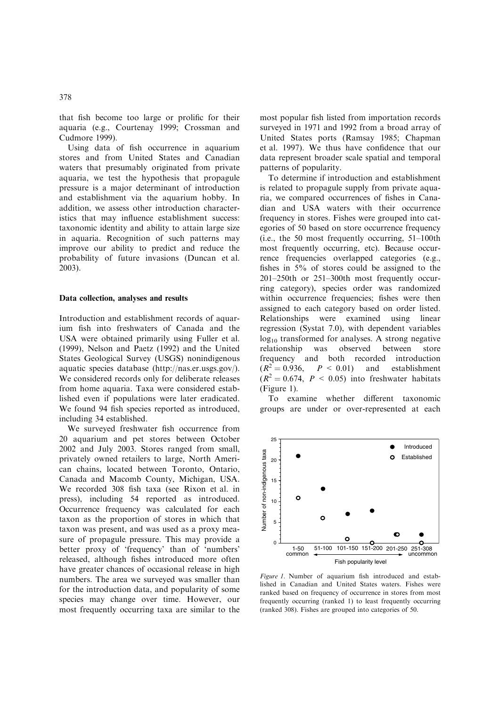that fish become too large or prolific for their aquaria (e.g., Courtenay 1999; Crossman and Cudmore 1999).

Using data of fish occurrence in aquarium stores and from United States and Canadian waters that presumably originated from private aquaria, we test the hypothesis that propagule pressure is a major determinant of introduction and establishment via the aquarium hobby. In addition, we assess other introduction characteristics that may influence establishment success: taxonomic identity and ability to attain large size in aquaria. Recognition of such patterns may improve our ability to predict and reduce the probability of future invasions (Duncan et al. 2003).

### Data collection, analyses and results

Introduction and establishment records of aquarium fish into freshwaters of Canada and the USA were obtained primarily using Fuller et al. (1999), Nelson and Paetz (1992) and the United States Geological Survey (USGS) nonindigenous aquatic species database (http://nas.er.usgs.gov/). We considered records only for deliberate releases from home aquaria. Taxa were considered established even if populations were later eradicated. We found 94 fish species reported as introduced, including 34 established.

We surveyed freshwater fish occurrence from 20 aquarium and pet stores between October 2002 and July 2003. Stores ranged from small, privately owned retailers to large, North American chains, located between Toronto, Ontario, Canada and Macomb County, Michigan, USA. We recorded 308 fish taxa (see Rixon et al. in press), including 54 reported as introduced. Occurrence frequency was calculated for each taxon as the proportion of stores in which that taxon was present, and was used as a proxy measure of propagule pressure. This may provide a better proxy of 'frequency' than of 'numbers' released, although fishes introduced more often have greater chances of occasional release in high numbers. The area we surveyed was smaller than for the introduction data, and popularity of some species may change over time. However, our most frequently occurring taxa are similar to the

most popular fish listed from importation records surveyed in 1971 and 1992 from a broad array of United States ports (Ramsay 1985; Chapman et al. 1997). We thus have confidence that our data represent broader scale spatial and temporal patterns of popularity.

To determine if introduction and establishment is related to propagule supply from private aquaria, we compared occurrences of fishes in Canadian and USA waters with their occurrence frequency in stores. Fishes were grouped into categories of 50 based on store occurrence frequency (i.e., the 50 most frequently occurring, 51–100th most frequently occurring, etc). Because occurrence frequencies overlapped categories (e.g., fishes in 5% of stores could be assigned to the 201–250th or 251–300th most frequently occurring category), species order was randomized within occurrence frequencies; fishes were then assigned to each category based on order listed. Relationships were examined using linear regression (Systat 7.0), with dependent variables  $log_{10}$  transformed for analyses. A strong negative relationship was observed between store frequency and both recorded introduction  $(R^2 = 0.936,$   $P < 0.01$  and establishment  $(R^2 = 0.674, P < 0.05)$  into freshwater habitats (Figure 1).

To examine whether different taxonomic groups are under or over-represented at each



Figure 1. Number of aquarium fish introduced and established in Canadian and United States waters. Fishes were ranked based on frequency of occurrence in stores from most frequently occurring (ranked 1) to least frequently occurring (ranked 308). Fishes are grouped into categories of 50.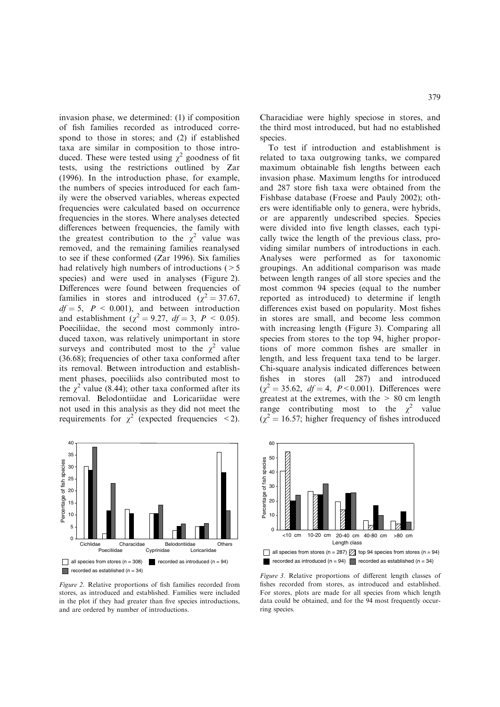invasion phase, we determined: (1) if composition of fish families recorded as introduced correspond to those in stores; and (2) if established taxa are similar in composition to those introduced. These were tested using  $\chi^2$  goodness of fit tests, using the restrictions outlined by Zar (1996). In the introduction phase, for example, the numbers of species introduced for each family were the observed variables, whereas expected frequencies were calculated based on occurrence frequencies in the stores. Where analyses detected differences between frequencies, the family with the greatest contribution to the  $\chi^2$  value was removed, and the remaining families reanalysed to see if these conformed (Zar 1996). Six families had relatively high numbers of introductions  $($  > 5 species) and were used in analyses (Figure 2). Differences were found between frequencies of families in stores and introduced  $(\chi^2 = 37.67,$  $df = 5$ ,  $P < 0.001$ , and between introduction and establishment ( $\chi^2 = 9.27$ ,  $df = 3$ ,  $P < 0.05$ ). Poeciliidae, the second most commonly introduced taxon, was relatively unimportant in store surveys and contributed most to the  $\chi^2$  value (36.68); frequencies of other taxa conformed after its removal. Between introduction and establishment phases, poeciliids also contributed most to the  $\chi^2$  value (8.44); other taxa conformed after its removal. Belodontiidae and Loricariidae were not used in this analysis as they did not meet the requirements for  $\chi^2$  (expected frequencies <2).



Figure 2. Relative proportions of fish families recorded from stores, as introduced and established. Families were included in the plot if they had greater than five species introductions, and are ordered by number of introductions.

Characidiae were highly speciose in stores, and the third most introduced, but had no established species.

To test if introduction and establishment is related to taxa outgrowing tanks, we compared maximum obtainable fish lengths between each invasion phase. Maximum lengths for introduced and 287 store fish taxa were obtained from the Fishbase database (Froese and Pauly 2002); others were identifiable only to genera, were hybrids, or are apparently undescribed species. Species were divided into five length classes, each typically twice the length of the previous class, providing similar numbers of introductions in each. Analyses were performed as for taxonomic groupings. An additional comparison was made between length ranges of all store species and the most common 94 species (equal to the number reported as introduced) to determine if length differences exist based on popularity. Most fishes in stores are small, and become less common with increasing length (Figure 3). Comparing all species from stores to the top 94, higher proportions of more common fishes are smaller in length, and less frequent taxa tend to be larger. Chi-square analysis indicated differences between fishes in stores (all 287) and introduced  $(\chi^2 = 35.62, df = 4, P < 0.001)$ . Differences were greatest at the extremes, with the > 80 cm length range contributing most to the  $\chi^2$  value  $(\chi^2 = 16.57;$  higher frequency of fishes introduced



Figure 3. Relative proportions of different length classes of fishes recorded from stores, as introduced and established. For stores, plots are made for all species from which length data could be obtained, and for the 94 most frequently occurring species.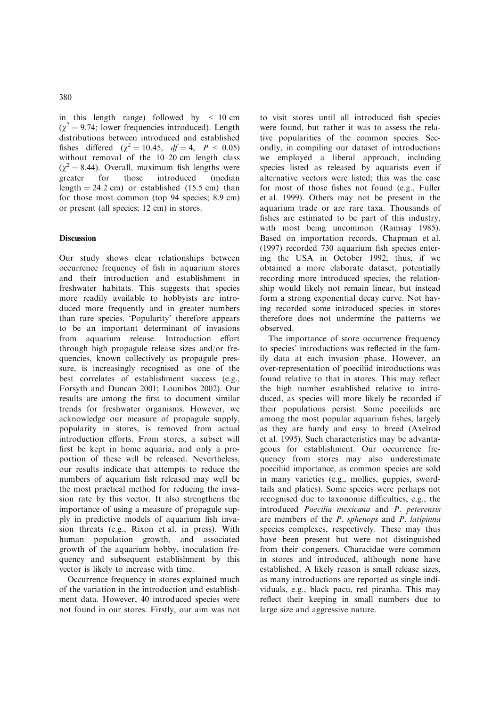in this length range) followed by  $\lt$  10 cm  $(\chi^2 = 9.74;$  lower frequencies introduced). Length distributions between introduced and established fishes differed  $(\chi^2 = 10.45, df = 4, P < 0.05)$ without removal of the 10–20 cm length class  $(\chi^2 = 8.44)$ . Overall, maximum fish lengths were greater for those introduced (median length  $= 24.2$  cm) or established (15.5 cm) than for those most common (top 94 species; 8.9 cm) or present (all species; 12 cm) in stores.

### Discussion

Our study shows clear relationships between occurrence frequency of fish in aquarium stores and their introduction and establishment in freshwater habitats. This suggests that species more readily available to hobbyists are introduced more frequently and in greater numbers than rare species. 'Popularity' therefore appears to be an important determinant of invasions from aquarium release. Introduction effort through high propagule release sizes and/or frequencies, known collectively as propagule pressure, is increasingly recognised as one of the best correlates of establishment success (e.g., Forsyth and Duncan 2001; Lounibos 2002). Our results are among the first to document similar trends for freshwater organisms. However, we acknowledge our measure of propagule supply, popularity in stores, is removed from actual introduction efforts. From stores, a subset will first be kept in home aquaria, and only a proportion of these will be released. Nevertheless, our results indicate that attempts to reduce the numbers of aquarium fish released may well be the most practical method for reducing the invasion rate by this vector. It also strengthens the importance of using a measure of propagule supply in predictive models of aquarium fish invasion threats (e.g., Rixon et al. in press). With human population growth, and associated growth of the aquarium hobby, inoculation frequency and subsequent establishment by this vector is likely to increase with time.

Occurrence frequency in stores explained much of the variation in the introduction and establishment data. However, 40 introduced species were not found in our stores. Firstly, our aim was not

to visit stores until all introduced fish species were found, but rather it was to assess the relative popularities of the common species. Secondly, in compiling our dataset of introductions we employed a liberal approach, including species listed as released by aquarists even if alternative vectors were listed; this was the case for most of those fishes not found (e.g., Fuller et al. 1999). Others may not be present in the aquarium trade or are rare taxa. Thousands of fishes are estimated to be part of this industry, with most being uncommon (Ramsay 1985). Based on importation records, Chapman et al. (1997) recorded 730 aquarium fish species entering the USA in October 1992; thus, if we obtained a more elaborate dataset, potentially recording more introduced species, the relationship would likely not remain linear, but instead form a strong exponential decay curve. Not having recorded some introduced species in stores therefore does not undermine the patterns we observed.

The importance of store occurrence frequency to species' introductions was reflected in the family data at each invasion phase. However, an over-representation of poeciliid introductions was found relative to that in stores. This may reflect the high number established relative to introduced, as species will more likely be recorded if their populations persist. Some poeciliids are among the most popular aquarium fishes, largely as they are hardy and easy to breed (Axelrod et al. 1995). Such characteristics may be advantageous for establishment. Our occurrence frequency from stores may also underestimate poeciliid importance, as common species are sold in many varieties (e.g., mollies, guppies, swordtails and platies). Some species were perhaps not recognised due to taxonomic difficulties, e.g., the introduced Poecilia mexicana and P. peterensis are members of the P. sphenops and P. latipinna species complexes, respectively. These may thus have been present but were not distinguished from their congeners. Characidae were common in stores and introduced, although none have established. A likely reason is small release sizes, as many introductions are reported as single individuals, e.g., black pacu, red piranha. This may reflect their keeping in small numbers due to large size and aggressive nature.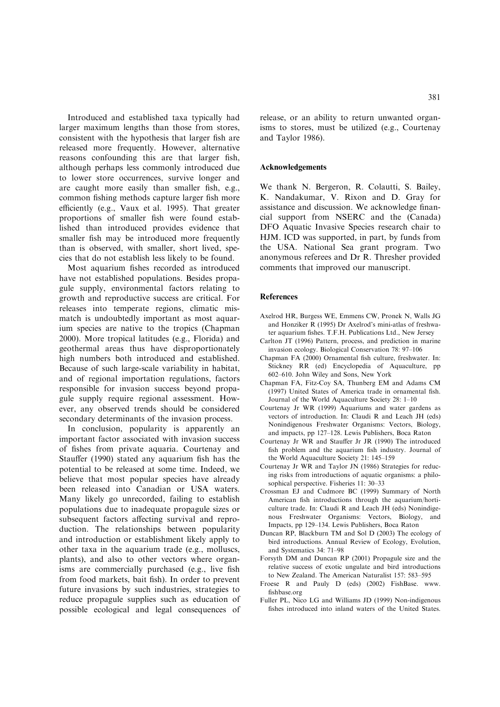Introduced and established taxa typically had larger maximum lengths than those from stores, consistent with the hypothesis that larger fish are released more frequently. However, alternative reasons confounding this are that larger fish, although perhaps less commonly introduced due to lower store occurrences, survive longer and are caught more easily than smaller fish, e.g., common fishing methods capture larger fish more efficiently (e.g., Vaux et al. 1995). That greater proportions of smaller fish were found established than introduced provides evidence that smaller fish may be introduced more frequently than is observed, with smaller, short lived, species that do not establish less likely to be found.

Most aquarium fishes recorded as introduced have not established populations. Besides propagule supply, environmental factors relating to growth and reproductive success are critical. For releases into temperate regions, climatic mismatch is undoubtedly important as most aquarium species are native to the tropics (Chapman 2000). More tropical latitudes (e.g., Florida) and geothermal areas thus have disproportionately high numbers both introduced and established. Because of such large-scale variability in habitat, and of regional importation regulations, factors responsible for invasion success beyond propagule supply require regional assessment. However, any observed trends should be considered secondary determinants of the invasion process.

In conclusion, popularity is apparently an important factor associated with invasion success of fishes from private aquaria. Courtenay and Stauffer (1990) stated any aquarium fish has the potential to be released at some time. Indeed, we believe that most popular species have already been released into Canadian or USA waters. Many likely go unrecorded, failing to establish populations due to inadequate propagule sizes or subsequent factors affecting survival and reproduction. The relationships between popularity and introduction or establishment likely apply to other taxa in the aquarium trade (e.g., molluscs, plants), and also to other vectors where organisms are commercially purchased (e.g., live fish from food markets, bait fish). In order to prevent future invasions by such industries, strategies to reduce propagule supplies such as education of possible ecological and legal consequences of release, or an ability to return unwanted organisms to stores, must be utilized (e.g., Courtenay and Taylor 1986).

#### Acknowledgements

We thank N. Bergeron, R. Colautti, S. Bailey, K. Nandakumar, V. Rixon and D. Gray for assistance and discussion. We acknowledge financial support from NSERC and the (Canada) DFO Aquatic Invasive Species research chair to HJM. ICD was supported, in part, by funds from the USA. National Sea grant program. Two anonymous referees and Dr R. Thresher provided comments that improved our manuscript.

#### References

- Axelrod HR, Burgess WE, Emmens CW, Pronek N, Walls JG and Honziker R (1995) Dr Axelrod's mini-atlas of freshwater aquarium fishes. T.F.H. Publications Ltd., New Jersey
- Carlton JT (1996) Pattern, process, and prediction in marine invasion ecology. Biological Conservation 78: 97–106
- Chapman FA (2000) Ornamental fish culture, freshwater. In: Stickney RR (ed) Encyclopedia of Aquaculture, pp 602–610. John Wiley and Sons, New York
- Chapman FA, Fitz-Coy SA, Thunberg EM and Adams CM (1997) United States of America trade in ornamental fish. Journal of the World Aquaculture Society 28: 1–10
- Courtenay Jr WR (1999) Aquariums and water gardens as vectors of introduction. In: Claudi R and Leach JH (eds) Nonindigenous Freshwater Organisms: Vectors, Biology, and impacts, pp 127–128. Lewis Publishers, Boca Raton
- Courtenay Jr WR and Stauffer Jr JR (1990) The introduced fish problem and the aquarium fish industry. Journal of the World Aquaculture Society 21: 145–159
- Courtenay Jr WR and Taylor JN (1986) Strategies for reducing risks from introductions of aquatic organisms: a philosophical perspective. Fisheries 11: 30–33
- Crossman EJ and Cudmore BC (1999) Summary of North American fish introductions through the aquarium/horticulture trade. In: Claudi R and Leach JH (eds) Nonindigenous Freshwater Organisms: Vectors, Biology, and Impacts, pp 129–134. Lewis Publishers, Boca Raton
- Duncan RP, Blackburn TM and Sol D (2003) The ecology of bird introductions. Annual Review of Ecology, Evolution, and Systematics 34: 71–98
- Forsyth DM and Duncan RP (2001) Propagule size and the relative success of exotic ungulate and bird introductions to New Zealand. The American Naturalist 157: 583–595
- Froese R and Pauly D (eds) (2002) FishBase. www. fishbase.org
- Fuller PL, Nico LG and Williams JD (1999) Non-indigenous fishes introduced into inland waters of the United States.